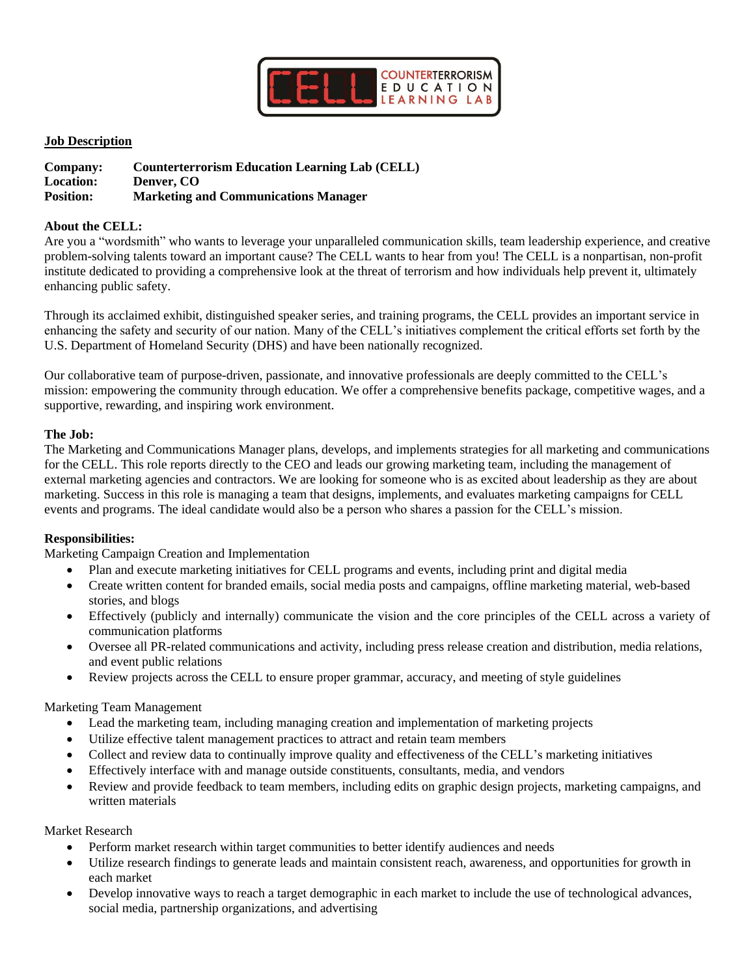

## **Job Description**

| Company:         | <b>Counterterrorism Education Learning Lab (CELL)</b> |
|------------------|-------------------------------------------------------|
| <b>Location:</b> | Denver, CO                                            |
| <b>Position:</b> | <b>Marketing and Communications Manager</b>           |

#### **About the CELL:**

Are you a "wordsmith" who wants to leverage your unparalleled communication skills, team leadership experience, and creative problem-solving talents toward an important cause? The CELL wants to hear from you! The CELL is a nonpartisan, non-profit institute dedicated to providing a comprehensive look at the threat of terrorism and how individuals help prevent it, ultimately enhancing public safety.

Through its acclaimed exhibit, distinguished speaker series, and training programs, the CELL provides an important service in enhancing the safety and security of our nation. Many of the CELL's initiatives complement the critical efforts set forth by the U.S. Department of Homeland Security (DHS) and have been nationally recognized.

Our collaborative team of purpose-driven, passionate, and innovative professionals are deeply committed to the CELL's mission: empowering the community through education. We offer a comprehensive benefits package, competitive wages, and a supportive, rewarding, and inspiring work environment.

#### **The Job:**

The Marketing and Communications Manager plans, develops, and implements strategies for all marketing and communications for the CELL. This role reports directly to the CEO and leads our growing marketing team, including the management of external marketing agencies and contractors. We are looking for someone who is as excited about leadership as they are about marketing. Success in this role is managing a team that designs, implements, and evaluates marketing campaigns for CELL events and programs. The ideal candidate would also be a person who shares a passion for the CELL's mission.

## **Responsibilities:**

Marketing Campaign Creation and Implementation

- Plan and execute marketing initiatives for CELL programs and events, including print and digital media
- Create written content for branded emails, social media posts and campaigns, offline marketing material, web-based stories, and blogs
- Effectively (publicly and internally) communicate the vision and the core principles of the CELL across a variety of communication platforms
- Oversee all PR-related communications and activity, including press release creation and distribution, media relations, and event public relations
- Review projects across the CELL to ensure proper grammar, accuracy, and meeting of style guidelines

## Marketing Team Management

- Lead the marketing team, including managing creation and implementation of marketing projects
- Utilize effective talent management practices to attract and retain team members
- Collect and review data to continually improve quality and effectiveness of the CELL's marketing initiatives
- Effectively interface with and manage outside constituents, consultants, media, and vendors
- Review and provide feedback to team members, including edits on graphic design projects, marketing campaigns, and written materials

#### Market Research

- Perform market research within target communities to better identify audiences and needs
- Utilize research findings to generate leads and maintain consistent reach, awareness, and opportunities for growth in each market
- Develop innovative ways to reach a target demographic in each market to include the use of technological advances, social media, partnership organizations, and advertising